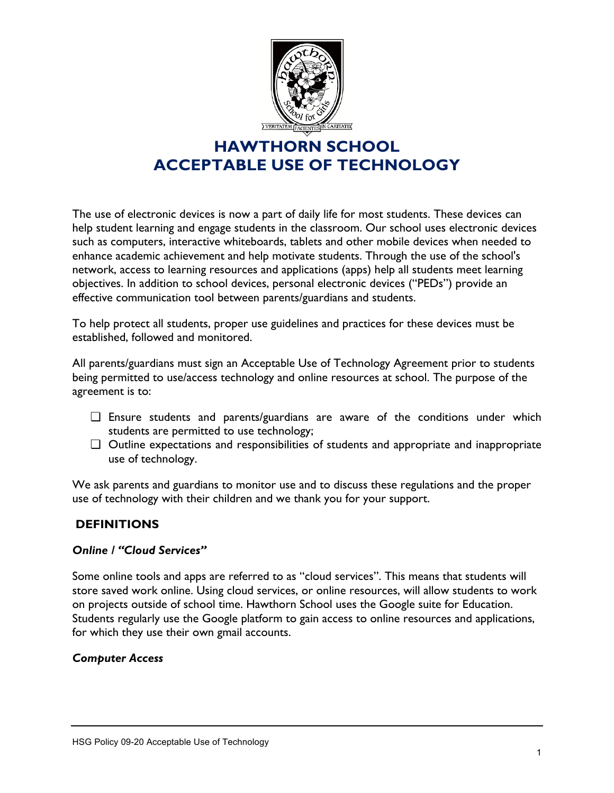

The use of electronic devices is now a part of daily life for most students. These devices can help student learning and engage students in the classroom. Our school uses electronic devices such as computers, interactive whiteboards, tablets and other mobile devices when needed to enhance academic achievement and help motivate students. Through the use of the school's network, access to learning resources and applications (apps) help all students meet learning objectives. In addition to school devices, personal electronic devices ("PEDs") provide an effective communication tool between parents/guardians and students.

To help protect all students, proper use guidelines and practices for these devices must be established, followed and monitored.

All parents/guardians must sign an Acceptable Use of Technology Agreement prior to students being permitted to use/access technology and online resources at school. The purpose of the agreement is to:

- ❏ Ensure students and parents/guardians are aware of the conditions under which students are permitted to use technology;
- ❏ Outline expectations and responsibilities of students and appropriate and inappropriate use of technology.

We ask parents and guardians to monitor use and to discuss these regulations and the proper use of technology with their children and we thank you for your support.

### **DEFINITIONS**

#### *Online / "Cloud Services"*

Some online tools and apps are referred to as "cloud services". This means that students will store saved work online. Using cloud services, or online resources, will allow students to work on projects outside of school time. Hawthorn School uses the Google suite for Education. Students regularly use the Google platform to gain access to online resources and applications, for which they use their own gmail accounts.

#### *Computer Access*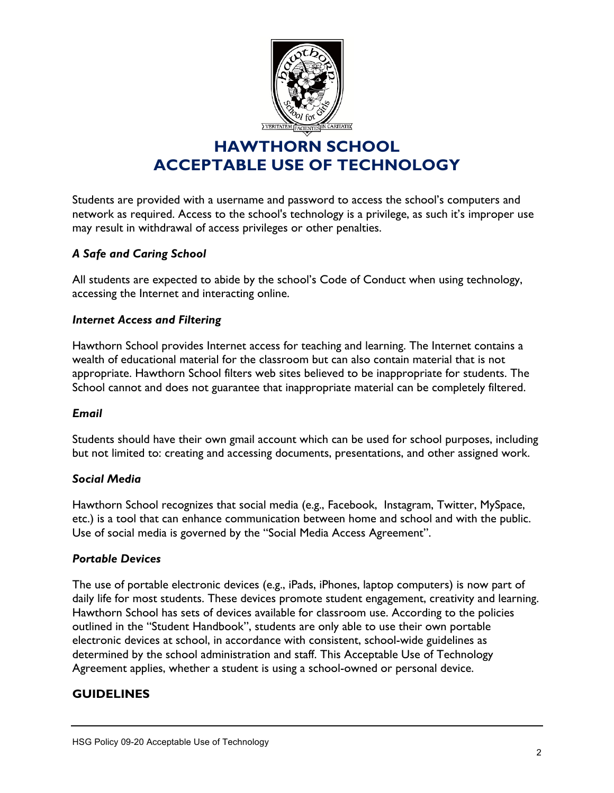

Students are provided with a username and password to access the school's computers and network as required. Access to the school's technology is a privilege, as such it's improper use may result in withdrawal of access privileges or other penalties.

### *A Safe and Caring School*

All students are expected to abide by the school's Code of Conduct when using technology, accessing the Internet and interacting online.

### *Internet Access and Filtering*

Hawthorn School provides Internet access for teaching and learning. The Internet contains a wealth of educational material for the classroom but can also contain material that is not appropriate. Hawthorn School filters web sites believed to be inappropriate for students. The School cannot and does not guarantee that inappropriate material can be completely filtered.

### *Email*

Students should have their own gmail account which can be used for school purposes, including but not limited to: creating and accessing documents, presentations, and other assigned work.

#### *Social Media*

Hawthorn School recognizes that social media (e.g., Facebook, Instagram, Twitter, MySpace, etc.) is a tool that can enhance communication between home and school and with the public. Use of social media is governed by the "Social Media Access Agreement".

#### *Portable Devices*

The use of portable electronic devices (e.g., iPads, iPhones, laptop computers) is now part of daily life for most students. These devices promote student engagement, creativity and learning. Hawthorn School has sets of devices available for classroom use. According to the policies outlined in the "Student Handbook", students are only able to use their own portable electronic devices at school, in accordance with consistent, school-wide guidelines as determined by the school administration and staff. This Acceptable Use of Technology Agreement applies, whether a student is using a school-owned or personal device.

### **GUIDELINES**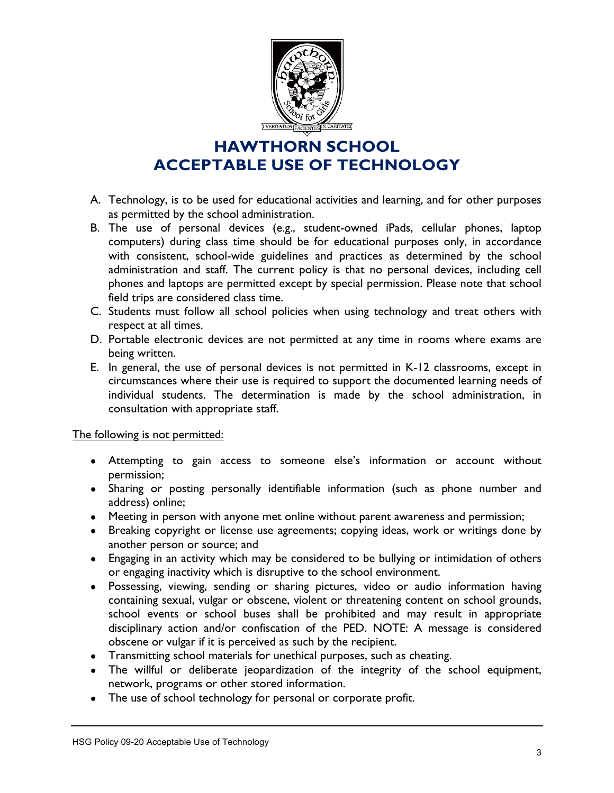

- A. Technology, is to be used for educational activities and learning, and for other purposes as permitted by the school administration.
- B. The use of personal devices (e.g., student-owned iPads, cellular phones, laptop computers) during class time should be for educational purposes only, in accordance with consistent, school-wide guidelines and practices as determined by the school administration and staff. The current policy is that no personal devices, including cell phones and laptops are permitted except by special permission. Please note that school field trips are considered class time.
- C. Students must follow all school policies when using technology and treat others with respect at all times.
- D. Portable electronic devices are not permitted at any time in rooms where exams are being written.
- E. In general, the use of personal devices is not permitted in K-12 classrooms, except in circumstances where their use is required to support the documented learning needs of individual students. The determination is made by the school administration, in consultation with appropriate staff.

### The following is not permitted:

- Attempting to gain access to someone else's information or account without permission;
- Sharing or posting personally identifiable information (such as phone number and address) online;
- Meeting in person with anyone met online without parent awareness and permission;
- Breaking copyright or license use agreements; copying ideas, work or writings done by another person or source; and
- Engaging in an activity which may be considered to be bullying or intimidation of others or engaging inactivity which is disruptive to the school environment.
- Possessing, viewing, sending or sharing pictures, video or audio information having containing sexual, vulgar or obscene, violent or threatening content on school grounds, school events or school buses shall be prohibited and may result in appropriate disciplinary action and/or confiscation of the PED. NOTE: A message is considered obscene or vulgar if it is perceived as such by the recipient.
- Transmitting school materials for unethical purposes, such as cheating.
- The willful or deliberate jeopardization of the integrity of the school equipment, network, programs or other stored information.
- The use of school technology for personal or corporate profit.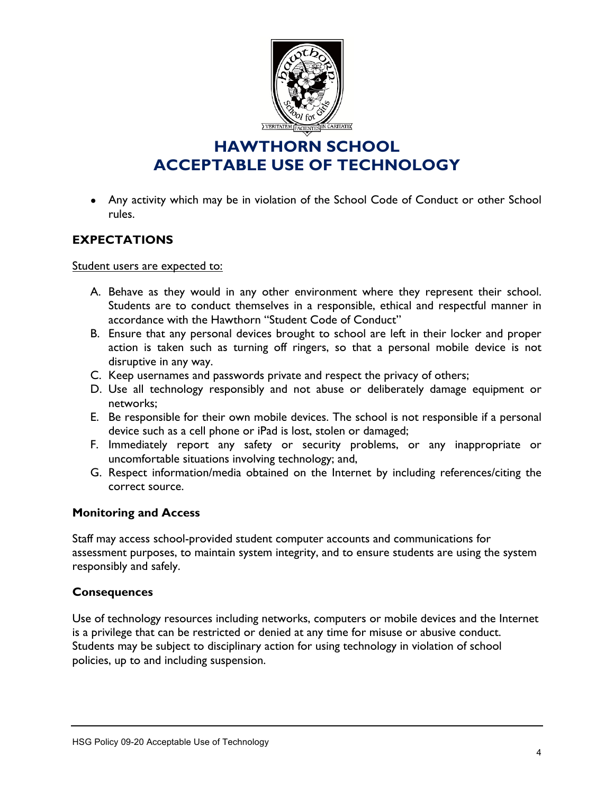

• Any activity which may be in violation of the School Code of Conduct or other School rules.

### **EXPECTATIONS**

Student users are expected to:

- A. Behave as they would in any other environment where they represent their school. Students are to conduct themselves in a responsible, ethical and respectful manner in accordance with the Hawthorn "Student Code of Conduct"
- B. Ensure that any personal devices brought to school are left in their locker and proper action is taken such as turning off ringers, so that a personal mobile device is not disruptive in any way.
- C. Keep usernames and passwords private and respect the privacy of others;
- D. Use all technology responsibly and not abuse or deliberately damage equipment or networks;
- E. Be responsible for their own mobile devices. The school is not responsible if a personal device such as a cell phone or iPad is lost, stolen or damaged;
- F. Immediately report any safety or security problems, or any inappropriate or uncomfortable situations involving technology; and,
- G. Respect information/media obtained on the Internet by including references/citing the correct source.

### **Monitoring and Access**

Staff may access school-provided student computer accounts and communications for assessment purposes, to maintain system integrity, and to ensure students are using the system responsibly and safely.

### **Consequences**

Use of technology resources including networks, computers or mobile devices and the Internet is a privilege that can be restricted or denied at any time for misuse or abusive conduct. Students may be subject to disciplinary action for using technology in violation of school policies, up to and including suspension.